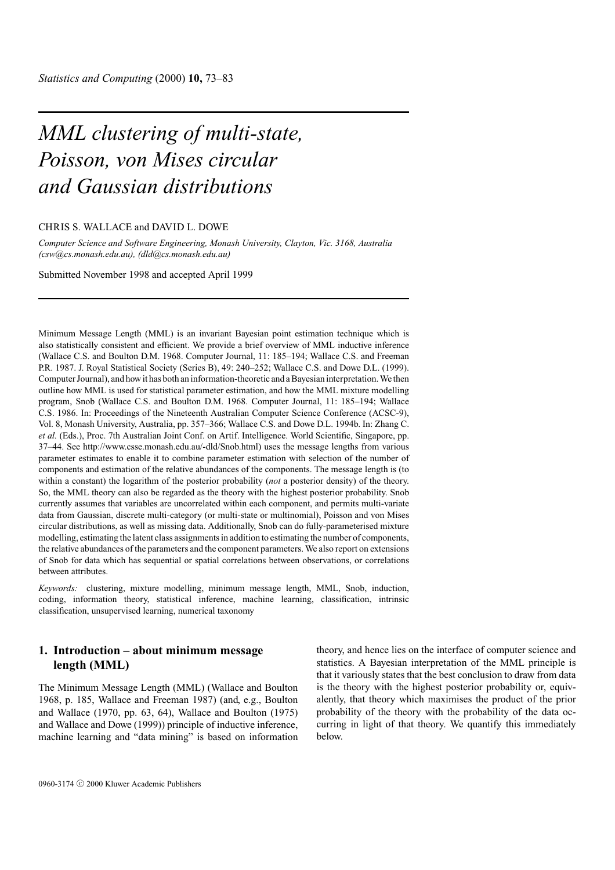# *MML clustering of multi-state, Poisson, von Mises circular and Gaussian distributions*

#### CHRIS S. WALLACE and DAVID L. DOWE

*Computer Science and Software Engineering, Monash University, Clayton, Vic. 3168, Australia (csw@cs.monash.edu.au), (dld@cs.monash.edu.au)*

Submitted November 1998 and accepted April 1999

Minimum Message Length (MML) is an invariant Bayesian point estimation technique which is also statistically consistent and efficient. We provide a brief overview of MML inductive inference (Wallace C.S. and Boulton D.M. 1968. Computer Journal, 11: 185–194; Wallace C.S. and Freeman P.R. 1987. J. Royal Statistical Society (Series B), 49: 240–252; Wallace C.S. and Dowe D.L. (1999). Computer Journal), and how it has both an information-theoretic and a Bayesian interpretation. We then outline how MML is used for statistical parameter estimation, and how the MML mixture modelling program, Snob (Wallace C.S. and Boulton D.M. 1968. Computer Journal, 11: 185–194; Wallace C.S. 1986. In: Proceedings of the Nineteenth Australian Computer Science Conference (ACSC-9), Vol. 8, Monash University, Australia, pp. 357–366; Wallace C.S. and Dowe D.L. 1994b. In: Zhang C. *et al.* (Eds.), Proc. 7th Australian Joint Conf. on Artif. Intelligence. World Scientific, Singapore, pp. 37–44. See http://www.csse.monash.edu.au/-dld/Snob.html) uses the message lengths from various parameter estimates to enable it to combine parameter estimation with selection of the number of components and estimation of the relative abundances of the components. The message length is (to within a constant) the logarithm of the posterior probability (*not* a posterior density) of the theory. So, the MML theory can also be regarded as the theory with the highest posterior probability. Snob currently assumes that variables are uncorrelated within each component, and permits multi-variate data from Gaussian, discrete multi-category (or multi-state or multinomial), Poisson and von Mises circular distributions, as well as missing data. Additionally, Snob can do fully-parameterised mixture modelling, estimating the latent class assignments in addition to estimating the number of components, the relative abundances of the parameters and the component parameters. We also report on extensions of Snob for data which has sequential or spatial correlations between observations, or correlations between attributes.

*Keywords:* clustering, mixture modelling, minimum message length, MML, Snob, induction, coding, information theory, statistical inference, machine learning, classification, intrinsic classification, unsupervised learning, numerical taxonomy

# **1. Introduction – about minimum message length (MML)**

The Minimum Message Length (MML) (Wallace and Boulton 1968, p. 185, Wallace and Freeman 1987) (and, e.g., Boulton and Wallace (1970, pp. 63, 64), Wallace and Boulton (1975) and Wallace and Dowe (1999)) principle of inductive inference, machine learning and "data mining" is based on information theory, and hence lies on the interface of computer science and statistics. A Bayesian interpretation of the MML principle is that it variously states that the best conclusion to draw from data is the theory with the highest posterior probability or, equivalently, that theory which maximises the product of the prior probability of the theory with the probability of the data occurring in light of that theory. We quantify this immediately below.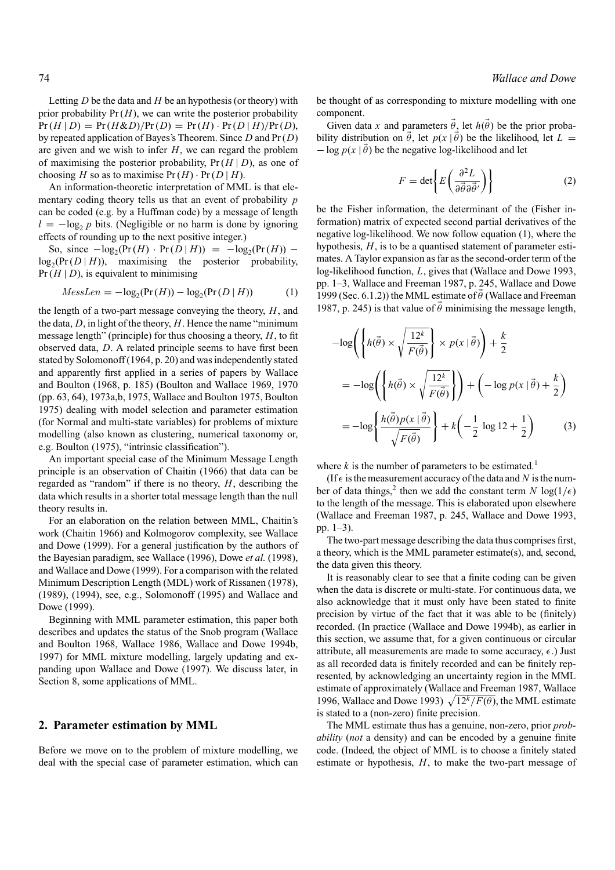Letting *D* be the data and *H* be an hypothesis (or theory) with prior probability  $Pr(H)$ , we can write the posterior probability  $Pr(H | D) = Pr(H \& D)/Pr(D) = Pr(H) \cdot Pr(D | H)/Pr(D),$ by repeated application of Bayes's Theorem. Since *D* and Pr (*D*) are given and we wish to infer *H*, we can regard the problem of maximising the posterior probability,  $Pr(H | D)$ , as one of choosing *H* so as to maximise  $Pr(H) \cdot Pr(D|H)$ .

An information-theoretic interpretation of MML is that elementary coding theory tells us that an event of probability *p* can be coded (e.g. by a Huffman code) by a message of length  $l = -\log_2 p$  bits. (Negligible or no harm is done by ignoring effects of rounding up to the next positive integer.)

So, since  $-\log_2(\Pr(H) \cdot \Pr(D|H)) = -\log_2(\Pr(H))$  −  $log_2(Pr(D|H))$ , maximising the posterior probability,  $Pr(H | D)$ , is equivalent to minimising

$$
Message = -\log_2(\Pr(H)) - \log_2(\Pr(D \mid H)) \tag{1}
$$

the length of a two-part message conveying the theory, *H*, and the data, *D*, in light of the theory, *H*. Hence the name "minimum message length" (principle) for thus choosing a theory, *H*, to fit observed data, *D*. A related principle seems to have first been stated by Solomonoff (1964, p. 20) and was independently stated and apparently first applied in a series of papers by Wallace and Boulton (1968, p. 185) (Boulton and Wallace 1969, 1970 (pp. 63, 64), 1973a,b, 1975, Wallace and Boulton 1975, Boulton 1975) dealing with model selection and parameter estimation (for Normal and multi-state variables) for problems of mixture modelling (also known as clustering, numerical taxonomy or, e.g. Boulton (1975), "intrinsic classification").

An important special case of the Minimum Message Length principle is an observation of Chaitin (1966) that data can be regarded as "random" if there is no theory, *H*, describing the data which results in a shorter total message length than the null theory results in.

For an elaboration on the relation between MML, Chaitin's work (Chaitin 1966) and Kolmogorov complexity, see Wallace and Dowe (1999). For a general justification by the authors of the Bayesian paradigm, see Wallace (1996), Dowe *et al.* (1998), and Wallace and Dowe (1999). For a comparison with the related Minimum Description Length (MDL) work of Rissanen (1978), (1989), (1994), see, e.g., Solomonoff (1995) and Wallace and Dowe (1999).

Beginning with MML parameter estimation, this paper both describes and updates the status of the Snob program (Wallace and Boulton 1968, Wallace 1986, Wallace and Dowe 1994b, 1997) for MML mixture modelling, largely updating and expanding upon Wallace and Dowe (1997). We discuss later, in Section 8, some applications of MML.

# **2. Parameter estimation by MML**

Before we move on to the problem of mixture modelling, we deal with the special case of parameter estimation, which can be thought of as corresponding to mixture modelling with one component.

Given data *x* and parameters  $\theta_2$  let  $h(\theta)$  be the prior probability distribution on  $\theta$ , let  $p(x | \theta)$  be the likelihood, let  $L =$  $-\log p(x | \theta)$  be the negative log-likelihood and let

$$
F = \det \left\{ E \left( \frac{\partial^2 L}{\partial \vec{\theta} \partial \vec{\theta}'} \right) \right\}
$$
 (2)

be the Fisher information, the determinant of the (Fisher information) matrix of expected second partial derivatives of the negative log-likelihood. We now follow equation (1), where the hypothesis, *H*, is to be a quantised statement of parameter estimates. A Taylor expansion as far as the second-order term of the log-likelihood function, *L*, gives that (Wallace and Dowe 1993, pp. 1–3, Wallace and Freeman 1987, p. 245, Wallace and Dowe 1999 (Sec. 6.1.2)) the MML estimate of  $\theta$  (Wallace and Freeman 1987, p. 245) is that value of  $\theta$  minimising the message length,

$$
-\log\left(\left\{h(\vec{\theta})\times\sqrt{\frac{12^k}{F(\vec{\theta})}}\right\}\times p(x \mid \vec{\theta})\right) + \frac{k}{2}
$$
  
=  $-\log\left(\left\{h(\vec{\theta})\times\sqrt{\frac{12^k}{F(\vec{\theta})}}\right\}\right) + \left(-\log p(x \mid \vec{\theta}) + \frac{k}{2}\right)$   
=  $-\log\left\{\frac{h(\vec{\theta})p(x \mid \vec{\theta})}{\sqrt{F(\vec{\theta})}}\right\} + k\left(-\frac{1}{2}\log 12 + \frac{1}{2}\right)$  (3)

where  $k$  is the number of parameters to be estimated.<sup>1</sup>

(If  $\epsilon$  is the measurement accuracy of the data and *N* is the number of data things,<sup>2</sup> then we add the constant term *N*  $log(1/\epsilon)$ to the length of the message. This is elaborated upon elsewhere (Wallace and Freeman 1987, p. 245, Wallace and Dowe 1993, pp. 1–3).

The two-part message describing the data thus comprises first, a theory, which is the MML parameter estimate(s), and, second, the data given this theory.

It is reasonably clear to see that a finite coding can be given when the data is discrete or multi-state. For continuous data, we also acknowledge that it must only have been stated to finite precision by virtue of the fact that it was able to be (finitely) recorded. (In practice (Wallace and Dowe 1994b), as earlier in this section, we assume that, for a given continuous or circular attribute, all measurements are made to some accuracy,  $\epsilon$ .) Just as all recorded data is finitely recorded and can be finitely represented, by acknowledging an uncertainty region in the MML estimate of approximately (Wallace and Freeman 1987, Wallace 1996, Wallace and Dowe 1993)  $\sqrt{12^k/F(\theta)}$ , the MML estimate is stated to a (non-zero) finite precision.

The MML estimate thus has a genuine, non-zero, prior *probability* (*not* a density) and can be encoded by a genuine finite code. (Indeed, the object of MML is to choose a finitely stated estimate or hypothesis, *H*, to make the two-part message of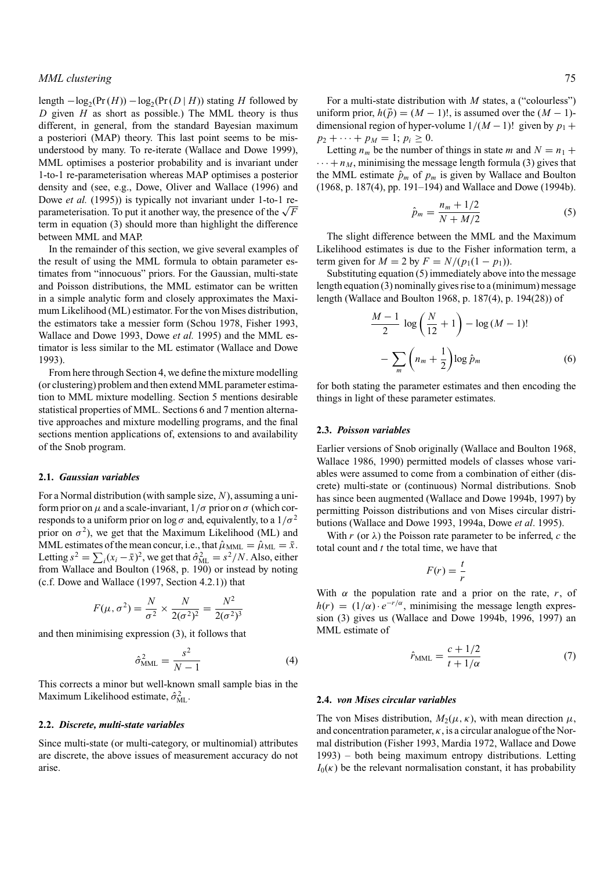# *MML clustering* 75

length  $-\log_2(\Pr(H)) - \log_2(\Pr(D|H))$  stating *H* followed by *D* given *H* as short as possible.) The MML theory is thus different, in general, from the standard Bayesian maximum a posteriori (MAP) theory. This last point seems to be misunderstood by many. To re-iterate (Wallace and Dowe 1999), MML optimises a posterior probability and is invariant under 1-to-1 re-parameterisation whereas MAP optimises a posterior density and (see, e.g., Dowe, Oliver and Wallace (1996) and Dowe *et al.* (1995)) is typically not invariant under 1-to-1 reparameterisation. To put it another way, the presence of the  $\sqrt{F}$ term in equation (3) should more than highlight the difference between MML and MAP.

In the remainder of this section, we give several examples of the result of using the MML formula to obtain parameter estimates from "innocuous" priors. For the Gaussian, multi-state and Poisson distributions, the MML estimator can be written in a simple analytic form and closely approximates the Maximum Likelihood (ML) estimator. For the von Mises distribution, the estimators take a messier form (Schou 1978, Fisher 1993, Wallace and Dowe 1993, Dowe *et al.* 1995) and the MML estimator is less similar to the ML estimator (Wallace and Dowe 1993).

From here through Section 4, we define the mixture modelling (or clustering) problem and then extend MML parameter estimation to MML mixture modelling. Section 5 mentions desirable statistical properties of MML. Sections 6 and 7 mention alternative approaches and mixture modelling programs, and the final sections mention applications of, extensions to and availability of the Snob program.

#### **2.1.** *Gaussian variables*

For a Normal distribution (with sample size, *N*), assuming a uniform prior on  $\mu$  and a scale-invariant,  $1/\sigma$  prior on  $\sigma$  (which corresponds to a uniform prior on log  $\sigma$  and, equivalently, to a  $1/\sigma^2$ prior on  $\sigma^2$ ), we get that the Maximum Likelihood (ML) and MML estimates of the mean concur, i.e., that  $\hat{\mu}_{MML} = \hat{\mu}_{ML} = \bar{x}$ . Letting  $s^2 = \sum_i (x_i - \bar{x})^2$ , we get that  $\hat{\sigma}_{ML}^2 = s^2/N$ . Also, either from Wallace and Boulton (1968, p. 190) or instead by noting (c.f. Dowe and Wallace (1997, Section 4.2.1)) that

$$
F(\mu, \sigma^2) = \frac{N}{\sigma^2} \times \frac{N}{2(\sigma^2)^2} = \frac{N^2}{2(\sigma^2)^3}
$$

and then minimising expression (3), it follows that

$$
\hat{\sigma}_{\text{MML}}^2 = \frac{s^2}{N-1} \tag{4}
$$

This corrects a minor but well-known small sample bias in the Maximum Likelihood estimate,  $\hat{\sigma}_{ML}^2$ .

#### **2.2.** *Discrete, multi-state variables*

Since multi-state (or multi-category, or multinomial) attributes are discrete, the above issues of measurement accuracy do not arise.

For a multi-state distribution with *M* states, a ("colourless") uniform prior,  $h(\vec{p}) = (M-1)!$ , is assumed over the  $(M-1)$ dimensional region of hyper-volume  $1/(M-1)!$  given by  $p_1 +$  $p_2 + \cdots + p_M = 1$ ;  $p_i \geq 0$ .

Letting  $n_m$  be the number of things in state *m* and  $N = n_1 +$  $\cdots + n_M$ , minimising the message length formula (3) gives that the MML estimate  $\hat{p}_m$  of  $p_m$  is given by Wallace and Boulton (1968, p. 187(4), pp. 191–194) and Wallace and Dowe (1994b).

$$
\hat{p}_m = \frac{n_m + 1/2}{N + M/2} \tag{5}
$$

The slight difference between the MML and the Maximum Likelihood estimates is due to the Fisher information term, a term given for  $M = 2$  by  $F = N/(p_1(1 - p_1)).$ 

Substituting equation (5) immediately above into the message length equation (3) nominally gives rise to a (minimum) message length (Wallace and Boulton 1968, p. 187(4), p. 194(28)) of

$$
\frac{M-1}{2}\log\left(\frac{N}{12}+1\right)-\log(M-1)!
$$

$$
-\sum_{m}\left(n_m+\frac{1}{2}\right)\log\hat{p}_m\tag{6}
$$

for both stating the parameter estimates and then encoding the things in light of these parameter estimates.

#### **2.3.** *Poisson variables*

Earlier versions of Snob originally (Wallace and Boulton 1968, Wallace 1986, 1990) permitted models of classes whose variables were assumed to come from a combination of either (discrete) multi-state or (continuous) Normal distributions. Snob has since been augmented (Wallace and Dowe 1994b, 1997) by permitting Poisson distributions and von Mises circular distributions (Wallace and Dowe 1993, 1994a, Dowe *et al*. 1995).

With  $r$  (or  $\lambda$ ) the Poisson rate parameter to be inferred,  $c$  the total count and *t* the total time, we have that

$$
F(r) = \frac{t}{r}
$$

With  $\alpha$  the population rate and a prior on the rate,  $r$ , of  $h(r) = (1/\alpha) \cdot e^{-r/\alpha}$ , minimising the message length expression (3) gives us (Wallace and Dowe 1994b, 1996, 1997) an MML estimate of

$$
\hat{r}_{\text{MML}} = \frac{c + 1/2}{t + 1/\alpha} \tag{7}
$$

#### **2.4.** *von Mises circular variables*

The von Mises distribution,  $M_2(\mu, \kappa)$ , with mean direction  $\mu$ , and concentration parameter,  $\kappa$ , is a circular analogue of the Normal distribution (Fisher 1993, Mardia 1972, Wallace and Dowe 1993) – both being maximum entropy distributions. Letting  $I_0(\kappa)$  be the relevant normalisation constant, it has probability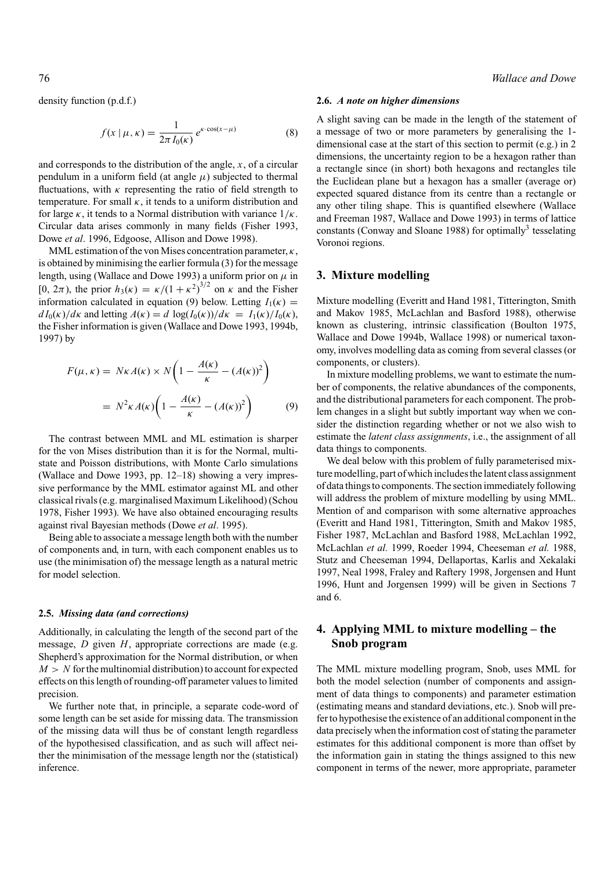density function (p.d.f.)

$$
f(x \mid \mu, \kappa) = \frac{1}{2\pi I_0(\kappa)} e^{\kappa \cdot \cos(x - \mu)}
$$
(8)

and corresponds to the distribution of the angle, *x*, of a circular pendulum in a uniform field (at angle  $\mu$ ) subjected to thermal fluctuations, with  $\kappa$  representing the ratio of field strength to temperature. For small  $\kappa$ , it tends to a uniform distribution and for large  $\kappa$ , it tends to a Normal distribution with variance  $1/\kappa$ . Circular data arises commonly in many fields (Fisher 1993, Dowe *et al*. 1996, Edgoose, Allison and Dowe 1998).

MML estimation of the von Mises concentration parameter,  $\kappa$ , is obtained by minimising the earlier formula (3) for the message length, using (Wallace and Dowe 1993) a uniform prior on  $\mu$  in [0,  $2\pi$ ), the prior  $h_3(\kappa) = \kappa/(1 + \kappa^2)^{3/2}$  on  $\kappa$  and the Fisher information calculated in equation (9) below. Letting  $I_1(\kappa)$  =  $dI_0(\kappa)/d\kappa$  and letting  $A(\kappa) = d \log(I_0(\kappa))/d\kappa = I_1(\kappa)/I_0(\kappa)$ , the Fisher information is given (Wallace and Dowe 1993, 1994b, 1997) by

$$
F(\mu, \kappa) = N\kappa A(\kappa) \times N\left(1 - \frac{A(\kappa)}{\kappa} - (A(\kappa))^2\right)
$$

$$
= N^2 \kappa A(\kappa) \left(1 - \frac{A(\kappa)}{\kappa} - (A(\kappa))^2\right) \tag{9}
$$

The contrast between MML and ML estimation is sharper for the von Mises distribution than it is for the Normal, multistate and Poisson distributions, with Monte Carlo simulations (Wallace and Dowe 1993, pp. 12–18) showing a very impressive performance by the MML estimator against ML and other classical rivals (e.g. marginalised Maximum Likelihood) (Schou 1978, Fisher 1993). We have also obtained encouraging results against rival Bayesian methods (Dowe *et al*. 1995).

Being able to associate a message length both with the number of components and, in turn, with each component enables us to use (the minimisation of) the message length as a natural metric for model selection.

#### **2.5.** *Missing data (and corrections)*

Additionally, in calculating the length of the second part of the message, *D* given *H*, appropriate corrections are made (e.g. Shepherd's approximation for the Normal distribution, or when  $M > N$  for the multinomial distribution) to account for expected effects on this length of rounding-off parameter values to limited precision.

We further note that, in principle, a separate code-word of some length can be set aside for missing data. The transmission of the missing data will thus be of constant length regardless of the hypothesised classification, and as such will affect neither the minimisation of the message length nor the (statistical) inference.

## 76 *Wallace and Dowe*

#### **2.6.** *A note on higher dimensions*

A slight saving can be made in the length of the statement of a message of two or more parameters by generalising the 1 dimensional case at the start of this section to permit (e.g.) in 2 dimensions, the uncertainty region to be a hexagon rather than a rectangle since (in short) both hexagons and rectangles tile the Euclidean plane but a hexagon has a smaller (average or) expected squared distance from its centre than a rectangle or any other tiling shape. This is quantified elsewhere (Wallace and Freeman 1987, Wallace and Dowe 1993) in terms of lattice constants (Conway and Sloane 1988) for optimally<sup>3</sup> tesselating Voronoi regions.

#### **3. Mixture modelling**

Mixture modelling (Everitt and Hand 1981, Titterington, Smith and Makov 1985, McLachlan and Basford 1988), otherwise known as clustering, intrinsic classification (Boulton 1975, Wallace and Dowe 1994b, Wallace 1998) or numerical taxonomy, involves modelling data as coming from several classes (or components, or clusters).

In mixture modelling problems, we want to estimate the number of components, the relative abundances of the components, and the distributional parameters for each component. The problem changes in a slight but subtly important way when we consider the distinction regarding whether or not we also wish to estimate the *latent class assignments*, i.e., the assignment of all data things to components.

We deal below with this problem of fully parameterised mixture modelling, part of which includes the latent class assignment of data things to components. The section immediately following will address the problem of mixture modelling by using MML. Mention of and comparison with some alternative approaches (Everitt and Hand 1981, Titterington, Smith and Makov 1985, Fisher 1987, McLachlan and Basford 1988, McLachlan 1992, McLachlan *et al.* 1999, Roeder 1994, Cheeseman *et al.* 1988, Stutz and Cheeseman 1994, Dellaportas, Karlis and Xekalaki 1997, Neal 1998, Fraley and Raftery 1998, Jorgensen and Hunt 1996, Hunt and Jorgensen 1999) will be given in Sections 7 and 6.

# **4. Applying MML to mixture modelling – the Snob program**

The MML mixture modelling program, Snob, uses MML for both the model selection (number of components and assignment of data things to components) and parameter estimation (estimating means and standard deviations, etc.). Snob will prefer to hypothesise the existence of an additional component in the data precisely when the information cost of stating the parameter estimates for this additional component is more than offset by the information gain in stating the things assigned to this new component in terms of the newer, more appropriate, parameter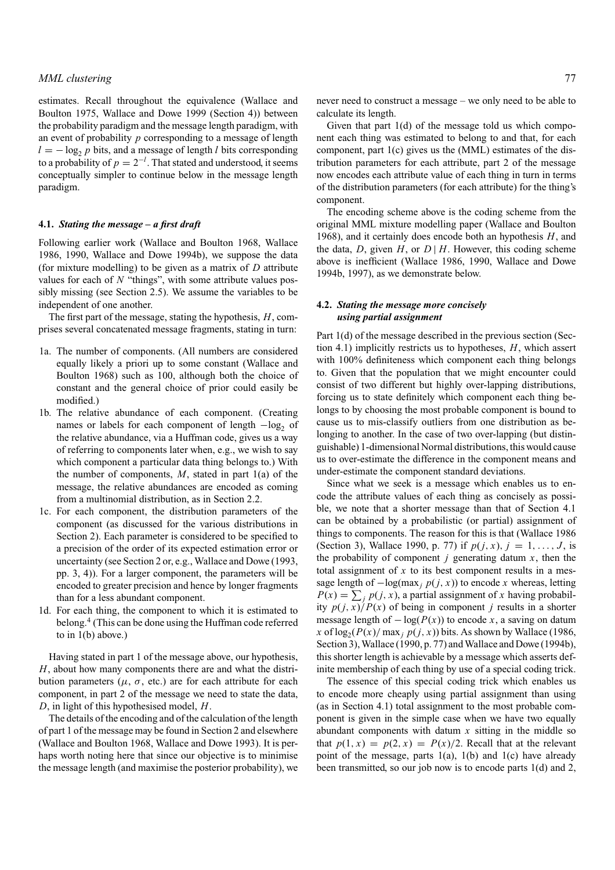estimates. Recall throughout the equivalence (Wallace and Boulton 1975, Wallace and Dowe 1999 (Section 4)) between the probability paradigm and the message length paradigm, with an event of probability *p* corresponding to a message of length  $l = -\log_2 p$  bits, and a message of length *l* bits corresponding to a probability of  $p = 2^{-l}$ . That stated and understood, it seems conceptually simpler to continue below in the message length paradigm.

#### **4.1.** *Stating the message – a first draft*

Following earlier work (Wallace and Boulton 1968, Wallace 1986, 1990, Wallace and Dowe 1994b), we suppose the data (for mixture modelling) to be given as a matrix of *D* attribute values for each of *N* "things", with some attribute values possibly missing (see Section 2.5). We assume the variables to be independent of one another.

The first part of the message, stating the hypothesis, *H*, comprises several concatenated message fragments, stating in turn:

- 1a. The number of components. (All numbers are considered equally likely a priori up to some constant (Wallace and Boulton 1968) such as 100, although both the choice of constant and the general choice of prior could easily be modified.)
- 1b. The relative abundance of each component. (Creating names or labels for each component of length −log<sub>2</sub> of the relative abundance, via a Huffman code, gives us a way of referring to components later when, e.g., we wish to say which component a particular data thing belongs to.) With the number of components, *M*, stated in part 1(a) of the message, the relative abundances are encoded as coming from a multinomial distribution, as in Section 2.2.
- 1c. For each component, the distribution parameters of the component (as discussed for the various distributions in Section 2). Each parameter is considered to be specified to a precision of the order of its expected estimation error or uncertainty (see Section 2 or, e.g., Wallace and Dowe (1993, pp. 3, 4)). For a larger component, the parameters will be encoded to greater precision and hence by longer fragments than for a less abundant component.
- 1d. For each thing, the component to which it is estimated to belong.<sup>4</sup> (This can be done using the Huffman code referred to in 1(b) above.)

Having stated in part 1 of the message above, our hypothesis, *H*, about how many components there are and what the distribution parameters ( $\mu$ ,  $\sigma$ , etc.) are for each attribute for each component, in part 2 of the message we need to state the data, *D*, in light of this hypothesised model, *H*.

The details of the encoding and of the calculation of the length of part 1 of the message may be found in Section 2 and elsewhere (Wallace and Boulton 1968, Wallace and Dowe 1993). It is perhaps worth noting here that since our objective is to minimise the message length (and maximise the posterior probability), we never need to construct a message – we only need to be able to calculate its length.

Given that part 1(d) of the message told us which component each thing was estimated to belong to and that, for each component, part 1(c) gives us the (MML) estimates of the distribution parameters for each attribute, part 2 of the message now encodes each attribute value of each thing in turn in terms of the distribution parameters (for each attribute) for the thing's component.

The encoding scheme above is the coding scheme from the original MML mixture modelling paper (Wallace and Boulton 1968), and it certainly does encode both an hypothesis *H*, and the data, *D*, given *H*, or  $D \mid H$ . However, this coding scheme above is inefficient (Wallace 1986, 1990, Wallace and Dowe 1994b, 1997), as we demonstrate below.

## **4.2.** *Stating the message more concisely using partial assignment*

Part 1(d) of the message described in the previous section (Section 4.1) implicitly restricts us to hypotheses, *H*, which assert with 100% definiteness which component each thing belongs to. Given that the population that we might encounter could consist of two different but highly over-lapping distributions, forcing us to state definitely which component each thing belongs to by choosing the most probable component is bound to cause us to mis-classify outliers from one distribution as belonging to another. In the case of two over-lapping (but distinguishable) 1-dimensional Normal distributions, this would cause us to over-estimate the difference in the component means and under-estimate the component standard deviations.

Since what we seek is a message which enables us to encode the attribute values of each thing as concisely as possible, we note that a shorter message than that of Section 4.1 can be obtained by a probabilistic (or partial) assignment of things to components. The reason for this is that (Wallace 1986 (Section 3), Wallace 1990, p. 77) if  $p(j, x)$ ,  $j = 1, ..., J$ , is the probability of component  $j$  generating datum  $x$ , then the total assignment of  $x$  to its best component results in a message length of  $-\log(\max_j p(j, x))$  to encode *x* whereas, letting  $P(x) = \sum_j p(j, x)$ , a partial assignment of *x* having probability  $p(j, x)/P(x)$  of being in component *j* results in a shorter message length of  $-\log(P(x))$  to encode *x*, a saving on datum *x* of  $\log_2(P(x)/\max_j p(j, x))$  bits. As shown by Wallace (1986, Section 3), Wallace (1990, p. 77) and Wallace and Dowe (1994b), this shorter length is achievable by a message which asserts definite membership of each thing by use of a special coding trick.

The essence of this special coding trick which enables us to encode more cheaply using partial assignment than using (as in Section 4.1) total assignment to the most probable component is given in the simple case when we have two equally abundant components with datum *x* sitting in the middle so that  $p(1, x) = p(2, x) = P(x)/2$ . Recall that at the relevant point of the message, parts  $1(a)$ ,  $1(b)$  and  $1(c)$  have already been transmitted, so our job now is to encode parts 1(d) and 2,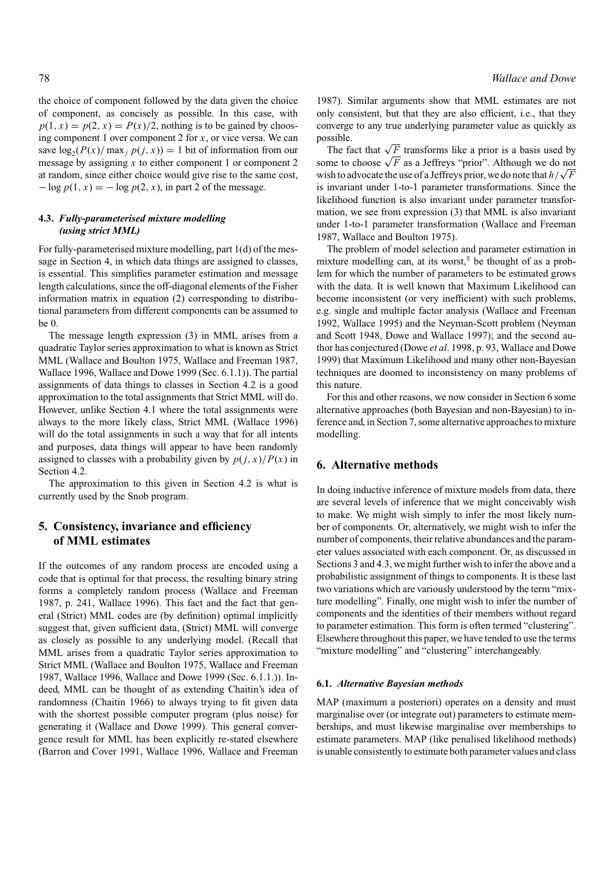the choice of component followed by the data given the choice of component, as concisely as possible. In this case, with  $p(1, x) = p(2, x) = P(x)/2$ , nothing is to be gained by choosing component 1 over component 2 for *x*, or vice versa. We can save  $\log_2(P(x)/\max_j p(j, x)) = 1$  bit of information from our message by assigning  $x$  to either component 1 or component 2 at random, since either choice would give rise to the same cost,  $-\log p(1, x) = -\log p(2, x)$ , in part 2 of the message.

## **4.3.** *Fully-parameterised mixture modelling (using strict MML)*

For fully-parameterised mixture modelling, part 1(d) of the message in Section 4, in which data things are assigned to classes, is essential. This simplifies parameter estimation and message length calculations, since the off-diagonal elements of the Fisher information matrix in equation (2) corresponding to distributional parameters from different components can be assumed to be 0.

The message length expression (3) in MML arises from a quadratic Taylor series approximation to what is known as Strict MML (Wallace and Boulton 1975, Wallace and Freeman 1987, Wallace 1996, Wallace and Dowe 1999 (Sec. 6.1.1)). The partial assignments of data things to classes in Section 4.2 is a good approximation to the total assignments that Strict MML will do. However, unlike Section 4.1 where the total assignments were always to the more likely class, Strict MML (Wallace 1996) will do the total assignments in such a way that for all intents and purposes, data things will appear to have been randomly assigned to classes with a probability given by  $p(j, x)/P(x)$  in Section 4.2.

The approximation to this given in Section 4.2 is what is currently used by the Snob program.

# **5. Consistency, invariance and efficiency of MML estimates**

If the outcomes of any random process are encoded using a code that is optimal for that process, the resulting binary string forms a completely random process (Wallace and Freeman 1987, p. 241, Wallace 1996). This fact and the fact that general (Strict) MML codes are (by definition) optimal implicitly suggest that, given sufficient data, (Strict) MML will converge as closely as possible to any underlying model. (Recall that MML arises from a quadratic Taylor series approximation to Strict MML (Wallace and Boulton 1975, Wallace and Freeman 1987, Wallace 1996, Wallace and Dowe 1999 (Sec. 6.1.1.)). Indeed, MML can be thought of as extending Chaitin's idea of randomness (Chaitin 1966) to always trying to fit given data with the shortest possible computer program (plus noise) for generating it (Wallace and Dowe 1999). This general convergence result for MML has been explicitly re-stated elsewhere (Barron and Cover 1991, Wallace 1996, Wallace and Freeman

1987). Similar arguments show that MML estimates are not only consistent, but that they are also efficient, i.e., that they converge to any true underlying parameter value as quickly as possible.

The fact that  $\sqrt{F}$  transforms like a prior is a basis used by some to choose  $\sqrt{F}$  as a Jeffreys "prior". Although we do not wish to advocate the use of a Jeffreys prior, we do note that  $h/\sqrt{F}$ is invariant under 1-to-1 parameter transformations. Since the likelihood function is also invariant under parameter transformation, we see from expression (3) that MML is also invariant under 1-to-1 parameter transformation (Wallace and Freeman 1987, Wallace and Boulton 1975).

The problem of model selection and parameter estimation in mixture modelling can, at its worst,<sup>5</sup> be thought of as a problem for which the number of parameters to be estimated grows with the data. It is well known that Maximum Likelihood can become inconsistent (or very inefficient) with such problems, e.g. single and multiple factor analysis (Wallace and Freeman 1992, Wallace 1995) and the Neyman-Scott problem (Neyman and Scott 1948, Dowe and Wallace 1997); and the second author has conjectured (Dowe *et al*. 1998, p. 93, Wallace and Dowe 1999) that Maximum Likelihood and many other non-Bayesian techniques are doomed to inconsistency on many problems of this nature.

For this and other reasons, we now consider in Section 6 some alternative approaches (both Bayesian and non-Bayesian) to inference and, in Section 7, some alternative approaches to mixture modelling.

# **6. Alternative methods**

In doing inductive inference of mixture models from data, there are several levels of inference that we might conceivably wish to make. We might wish simply to infer the most likely number of components. Or, alternatively, we might wish to infer the number of components, their relative abundances and the parameter values associated with each component. Or, as discussed in Sections 3 and 4.3, we might further wish to infer the above and a probabilistic assignment of things to components. It is these last two variations which are variously understood by the term "mixture modelling". Finally, one might wish to infer the number of components and the identities of their members without regard to parameter estimation. This form is often termed "clustering". Elsewhere throughout this paper, we have tended to use the terms "mixture modelling" and "clustering" interchangeably.

#### **6.1.** *Alternative Bayesian methods*

MAP (maximum a posteriori) operates on a density and must marginalise over (or integrate out) parameters to estimate memberships, and must likewise marginalise over memberships to estimate parameters. MAP (like penalised likelihood methods) is unable consistently to estimate both parameter values and class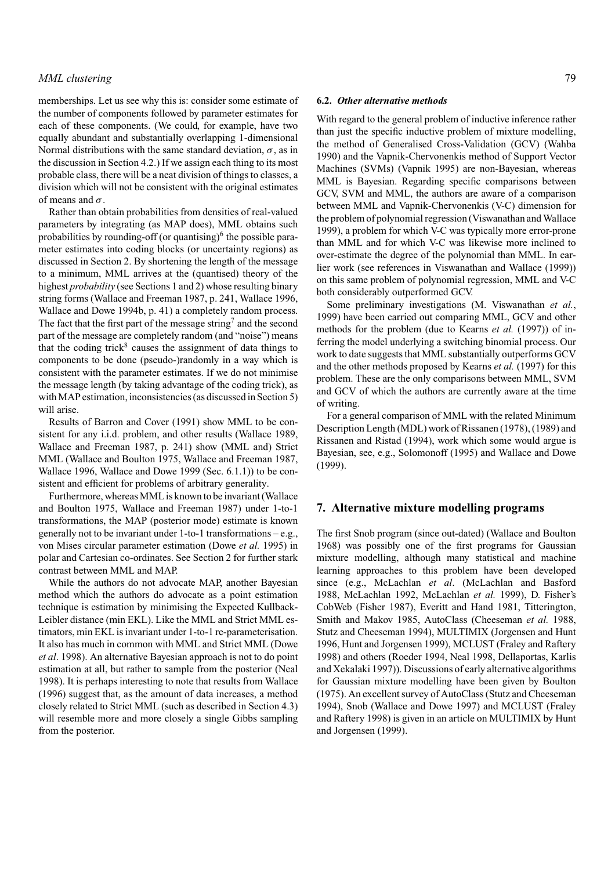# *MML clustering* 79

memberships. Let us see why this is: consider some estimate of the number of components followed by parameter estimates for each of these components. (We could, for example, have two equally abundant and substantially overlapping 1-dimensional Normal distributions with the same standard deviation,  $\sigma$ , as in the discussion in Section 4.2.) If we assign each thing to its most probable class, there will be a neat division of things to classes, a division which will not be consistent with the original estimates of means and  $\sigma$ .

Rather than obtain probabilities from densities of real-valued parameters by integrating (as MAP does), MML obtains such probabilities by rounding-off (or quantising) $<sup>6</sup>$  the possible para-</sup> meter estimates into coding blocks (or uncertainty regions) as discussed in Section 2. By shortening the length of the message to a minimum, MML arrives at the (quantised) theory of the highest *probability* (see Sections 1 and 2) whose resulting binary string forms (Wallace and Freeman 1987, p. 241, Wallace 1996, Wallace and Dowe 1994b, p. 41) a completely random process. The fact that the first part of the message string<sup>7</sup> and the second part of the message are completely random (and "noise") means that the coding trick<sup>8</sup> causes the assignment of data things to components to be done (pseudo-)randomly in a way which is consistent with the parameter estimates. If we do not minimise the message length (by taking advantage of the coding trick), as with MAP estimation, inconsistencies (as discussed in Section 5) will arise.

Results of Barron and Cover (1991) show MML to be consistent for any i.i.d. problem, and other results (Wallace 1989, Wallace and Freeman 1987, p. 241) show (MML and) Strict MML (Wallace and Boulton 1975, Wallace and Freeman 1987, Wallace 1996, Wallace and Dowe 1999 (Sec. 6.1.1)) to be consistent and efficient for problems of arbitrary generality.

Furthermore, whereas MML is known to be invariant (Wallace and Boulton 1975, Wallace and Freeman 1987) under 1-to-1 transformations, the MAP (posterior mode) estimate is known generally not to be invariant under 1-to-1 transformations – e.g., von Mises circular parameter estimation (Dowe *et al.* 1995) in polar and Cartesian co-ordinates. See Section 2 for further stark contrast between MML and MAP.

While the authors do not advocate MAP, another Bayesian method which the authors do advocate as a point estimation technique is estimation by minimising the Expected Kullback-Leibler distance (min EKL). Like the MML and Strict MML estimators, min EKL is invariant under 1-to-1 re-parameterisation. It also has much in common with MML and Strict MML (Dowe *et al*. 1998). An alternative Bayesian approach is not to do point estimation at all, but rather to sample from the posterior (Neal 1998). It is perhaps interesting to note that results from Wallace (1996) suggest that, as the amount of data increases, a method closely related to Strict MML (such as described in Section 4.3) will resemble more and more closely a single Gibbs sampling from the posterior.

#### **6.2.** *Other alternative methods*

With regard to the general problem of inductive inference rather than just the specific inductive problem of mixture modelling, the method of Generalised Cross-Validation (GCV) (Wahba 1990) and the Vapnik-Chervonenkis method of Support Vector Machines (SVMs) (Vapnik 1995) are non-Bayesian, whereas MML is Bayesian. Regarding specific comparisons between GCV, SVM and MML, the authors are aware of a comparison between MML and Vapnik-Chervonenkis (V-C) dimension for the problem of polynomial regression (Viswanathan and Wallace 1999), a problem for which V-C was typically more error-prone than MML and for which V-C was likewise more inclined to over-estimate the degree of the polynomial than MML. In earlier work (see references in Viswanathan and Wallace (1999)) on this same problem of polynomial regression, MML and V-C both considerably outperformed GCV.

Some preliminary investigations (M. Viswanathan *et al.*, 1999) have been carried out comparing MML, GCV and other methods for the problem (due to Kearns *et al.* (1997)) of inferring the model underlying a switching binomial process. Our work to date suggests that MML substantially outperforms GCV and the other methods proposed by Kearns *et al.* (1997) for this problem. These are the only comparisons between MML, SVM and GCV of which the authors are currently aware at the time of writing.

For a general comparison of MML with the related Minimum Description Length (MDL) work of Rissanen (1978), (1989) and Rissanen and Ristad (1994), work which some would argue is Bayesian, see, e.g., Solomonoff (1995) and Wallace and Dowe (1999).

## **7. Alternative mixture modelling programs**

The first Snob program (since out-dated) (Wallace and Boulton 1968) was possibly one of the first programs for Gaussian mixture modelling, although many statistical and machine learning approaches to this problem have been developed since (e.g., McLachlan *et al*. (McLachlan and Basford 1988, McLachlan 1992, McLachlan *et al.* 1999), D. Fisher's CobWeb (Fisher 1987), Everitt and Hand 1981, Titterington, Smith and Makov 1985, AutoClass (Cheeseman *et al.* 1988, Stutz and Cheeseman 1994), MULTIMIX (Jorgensen and Hunt 1996, Hunt and Jorgensen 1999), MCLUST (Fraley and Raftery 1998) and others (Roeder 1994, Neal 1998, Dellaportas, Karlis and Xekalaki 1997)). Discussions of early alternative algorithms for Gaussian mixture modelling have been given by Boulton (1975). An excellent survey of AutoClass (Stutz and Cheeseman 1994), Snob (Wallace and Dowe 1997) and MCLUST (Fraley and Raftery 1998) is given in an article on MULTIMIX by Hunt and Jorgensen (1999).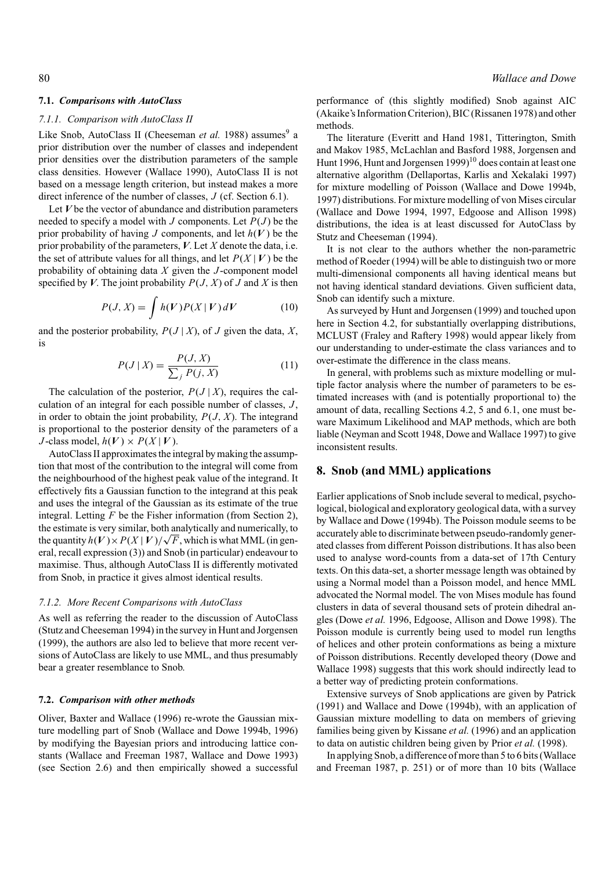#### **7.1.** *Comparisons with AutoClass*

#### *7.1.1. Comparison with AutoClass II*

Like Snob, AutoClass II (Cheeseman *et al.* 1988) assumes<sup>9</sup> a prior distribution over the number of classes and independent prior densities over the distribution parameters of the sample class densities. However (Wallace 1990), AutoClass II is not based on a message length criterion, but instead makes a more direct inference of the number of classes, *J* (cf. Section 6.1).

Let *V* be the vector of abundance and distribution parameters needed to specify a model with *J* components. Let  $P(J)$  be the prior probability of having *J* components, and let *h*(*V* ) be the prior probability of the parameters, *V*. Let *X* denote the data, i.e. the set of attribute values for all things, and let  $P(X | V)$  be the probability of obtaining data *X* given the *J* -component model specified by *V*. The joint probability  $P(J, X)$  of *J* and *X* is then

$$
P(J, X) = \int h(V)P(X | V) dV
$$
 (10)

and the posterior probability,  $P(J | X)$ , of *J* given the data, *X*, is

$$
P(J | X) = \frac{P(J, X)}{\sum_{j} P(j, X)}
$$
(11)

The calculation of the posterior,  $P(J | X)$ , requires the calculation of an integral for each possible number of classes, *J* , in order to obtain the joint probability,  $P(J, X)$ . The integrand is proportional to the posterior density of the parameters of a *J*-class model,  $h(V) \times P(X | V)$ .

AutoClass II approximates the integral by making the assumption that most of the contribution to the integral will come from the neighbourhood of the highest peak value of the integrand. It effectively fits a Gaussian function to the integrand at this peak and uses the integral of the Gaussian as its estimate of the true integral. Letting *F* be the Fisher information (from Section 2), the estimate is very similar, both analytically and numerically, to the quantity  $h(V) \times P(X | V) / \sqrt{F}$ , which is what MML (in general, recall expression (3)) and Snob (in particular) endeavour to maximise. Thus, although AutoClass II is differently motivated from Snob, in practice it gives almost identical results.

#### *7.1.2. More Recent Comparisons with AutoClass*

As well as referring the reader to the discussion of AutoClass (Stutz and Cheeseman 1994) in the survey in Hunt and Jorgensen (1999), the authors are also led to believe that more recent versions of AutoClass are likely to use MML, and thus presumably bear a greater resemblance to Snob.

#### **7.2.** *Comparison with other methods*

Oliver, Baxter and Wallace (1996) re-wrote the Gaussian mixture modelling part of Snob (Wallace and Dowe 1994b, 1996) by modifying the Bayesian priors and introducing lattice constants (Wallace and Freeman 1987, Wallace and Dowe 1993) (see Section 2.6) and then empirically showed a successful performance of (this slightly modified) Snob against AIC (Akaike's Information Criterion), BIC (Rissanen 1978) and other methods.

The literature (Everitt and Hand 1981, Titterington, Smith and Makov 1985, McLachlan and Basford 1988, Jorgensen and Hunt 1996, Hunt and Jorgensen  $1999$ <sup>10</sup> does contain at least one alternative algorithm (Dellaportas, Karlis and Xekalaki 1997) for mixture modelling of Poisson (Wallace and Dowe 1994b, 1997) distributions. For mixture modelling of von Mises circular (Wallace and Dowe 1994, 1997, Edgoose and Allison 1998) distributions, the idea is at least discussed for AutoClass by Stutz and Cheeseman (1994).

It is not clear to the authors whether the non-parametric method of Roeder (1994) will be able to distinguish two or more multi-dimensional components all having identical means but not having identical standard deviations. Given sufficient data, Snob can identify such a mixture.

As surveyed by Hunt and Jorgensen (1999) and touched upon here in Section 4.2, for substantially overlapping distributions, MCLUST (Fraley and Raftery 1998) would appear likely from our understanding to under-estimate the class variances and to over-estimate the difference in the class means.

In general, with problems such as mixture modelling or multiple factor analysis where the number of parameters to be estimated increases with (and is potentially proportional to) the amount of data, recalling Sections 4.2, 5 and 6.1, one must beware Maximum Likelihood and MAP methods, which are both liable (Neyman and Scott 1948, Dowe and Wallace 1997) to give inconsistent results.

## **8. Snob (and MML) applications**

Earlier applications of Snob include several to medical, psychological, biological and exploratory geological data, with a survey by Wallace and Dowe (1994b). The Poisson module seems to be accurately able to discriminate between pseudo-randomly generated classes from different Poisson distributions. It has also been used to analyse word-counts from a data-set of 17th Century texts. On this data-set, a shorter message length was obtained by using a Normal model than a Poisson model, and hence MML advocated the Normal model. The von Mises module has found clusters in data of several thousand sets of protein dihedral angles (Dowe *et al.* 1996, Edgoose, Allison and Dowe 1998). The Poisson module is currently being used to model run lengths of helices and other protein conformations as being a mixture of Poisson distributions. Recently developed theory (Dowe and Wallace 1998) suggests that this work should indirectly lead to a better way of predicting protein conformations.

Extensive surveys of Snob applications are given by Patrick (1991) and Wallace and Dowe (1994b), with an application of Gaussian mixture modelling to data on members of grieving families being given by Kissane *et al.* (1996) and an application to data on autistic children being given by Prior *et al.* (1998).

In applying Snob, a difference of more than 5 to 6 bits (Wallace and Freeman 1987, p. 251) or of more than 10 bits (Wallace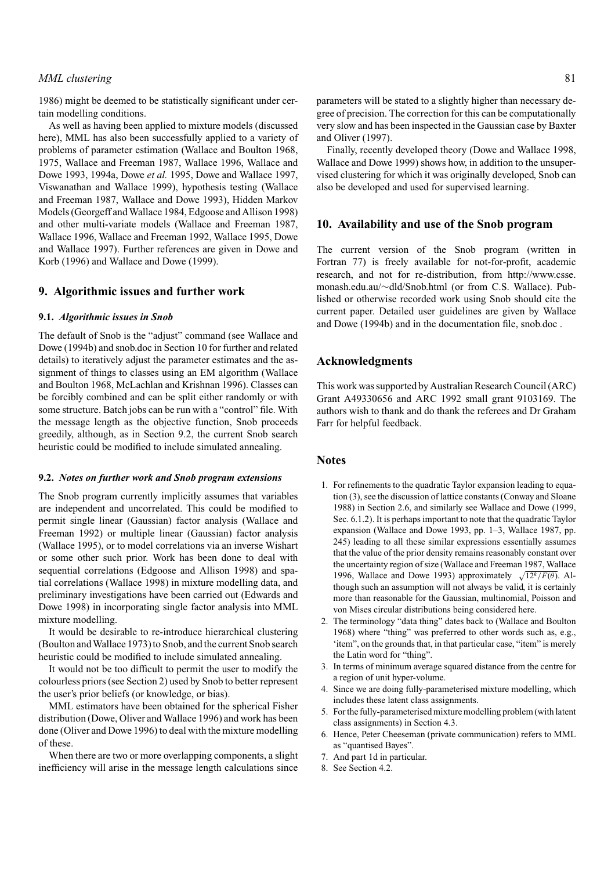# *MML clustering* 81

1986) might be deemed to be statistically significant under certain modelling conditions.

As well as having been applied to mixture models (discussed here), MML has also been successfully applied to a variety of problems of parameter estimation (Wallace and Boulton 1968, 1975, Wallace and Freeman 1987, Wallace 1996, Wallace and Dowe 1993, 1994a, Dowe *et al.* 1995, Dowe and Wallace 1997, Viswanathan and Wallace 1999), hypothesis testing (Wallace and Freeman 1987, Wallace and Dowe 1993), Hidden Markov Models (Georgeff and Wallace 1984, Edgoose and Allison 1998) and other multi-variate models (Wallace and Freeman 1987, Wallace 1996, Wallace and Freeman 1992, Wallace 1995, Dowe and Wallace 1997). Further references are given in Dowe and Korb (1996) and Wallace and Dowe (1999).

## **9. Algorithmic issues and further work**

#### **9.1.** *Algorithmic issues in Snob*

The default of Snob is the "adjust" command (see Wallace and Dowe (1994b) and snob.doc in Section 10 for further and related details) to iteratively adjust the parameter estimates and the assignment of things to classes using an EM algorithm (Wallace and Boulton 1968, McLachlan and Krishnan 1996). Classes can be forcibly combined and can be split either randomly or with some structure. Batch jobs can be run with a "control" file. With the message length as the objective function, Snob proceeds greedily, although, as in Section 9.2, the current Snob search heuristic could be modified to include simulated annealing.

#### **9.2.** *Notes on further work and Snob program extensions*

The Snob program currently implicitly assumes that variables are independent and uncorrelated. This could be modified to permit single linear (Gaussian) factor analysis (Wallace and Freeman 1992) or multiple linear (Gaussian) factor analysis (Wallace 1995), or to model correlations via an inverse Wishart or some other such prior. Work has been done to deal with sequential correlations (Edgoose and Allison 1998) and spatial correlations (Wallace 1998) in mixture modelling data, and preliminary investigations have been carried out (Edwards and Dowe 1998) in incorporating single factor analysis into MML mixture modelling.

It would be desirable to re-introduce hierarchical clustering (Boulton and Wallace 1973) to Snob, and the current Snob search heuristic could be modified to include simulated annealing.

It would not be too difficult to permit the user to modify the colourless priors (see Section 2) used by Snob to better represent the user's prior beliefs (or knowledge, or bias).

MML estimators have been obtained for the spherical Fisher distribution (Dowe, Oliver and Wallace 1996) and work has been done (Oliver and Dowe 1996) to deal with the mixture modelling of these.

When there are two or more overlapping components, a slight inefficiency will arise in the message length calculations since

parameters will be stated to a slightly higher than necessary degree of precision. The correction for this can be computationally very slow and has been inspected in the Gaussian case by Baxter and Oliver (1997).

Finally, recently developed theory (Dowe and Wallace 1998, Wallace and Dowe 1999) shows how, in addition to the unsupervised clustering for which it was originally developed, Snob can also be developed and used for supervised learning.

## **10. Availability and use of the Snob program**

The current version of the Snob program (written in Fortran 77) is freely available for not-for-profit, academic research, and not for re-distribution, from http://www.csse. monash.edu.au/∼dld/Snob.html (or from C.S. Wallace). Published or otherwise recorded work using Snob should cite the current paper. Detailed user guidelines are given by Wallace and Dowe (1994b) and in the documentation file, snob.doc .

# **Acknowledgments**

This work was supported by Australian Research Council (ARC) Grant A49330656 and ARC 1992 small grant 9103169. The authors wish to thank and do thank the referees and Dr Graham Farr for helpful feedback.

# **Notes**

- 1. For refinements to the quadratic Taylor expansion leading to equation (3), see the discussion of lattice constants (Conway and Sloane 1988) in Section 2.6, and similarly see Wallace and Dowe (1999, Sec. 6.1.2). It is perhaps important to note that the quadratic Taylor expansion (Wallace and Dowe 1993, pp. 1–3, Wallace 1987, pp. 245) leading to all these similar expressions essentially assumes that the value of the prior density remains reasonably constant over the uncertainty region of size (Wallace and Freeman 1987, Wallace 1996, Wallace and Dowe 1993) approximately  $\sqrt{12^k/F(\theta)}$ . Although such an assumption will not always be valid, it is certainly more than reasonable for the Gaussian, multinomial, Poisson and von Mises circular distributions being considered here.
- 2. The terminology "data thing" dates back to (Wallace and Boulton 1968) where "thing" was preferred to other words such as, e.g., 'item", on the grounds that, in that particular case, "item" is merely the Latin word for "thing".
- 3. In terms of minimum average squared distance from the centre for a region of unit hyper-volume.
- 4. Since we are doing fully-parameterised mixture modelling, which includes these latent class assignments.
- 5. For the fully-parameterised mixture modelling problem (with latent class assignments) in Section 4.3.
- 6. Hence, Peter Cheeseman (private communication) refers to MML as "quantised Bayes".
- 7. And part 1d in particular.
- 8. See Section 4.2.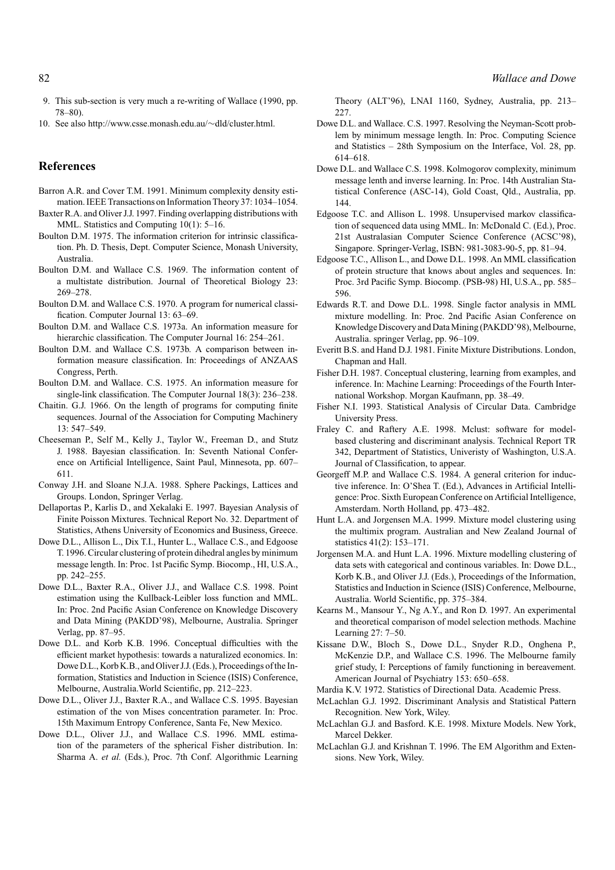- 9. This sub-section is very much a re-writing of Wallace (1990, pp. 78–80).
- 10. See also http://www.csse.monash.edu.au/∼dld/cluster.html.

# **References**

- Barron A.R. and Cover T.M. 1991. Minimum complexity density estimation. IEEE Transactions on Information Theory 37: 1034–1054.
- Baxter R.A. and Oliver J.J. 1997. Finding overlapping distributions with MML. Statistics and Computing 10(1): 5–16.
- Boulton D.M. 1975. The information criterion for intrinsic classification. Ph. D. Thesis, Dept. Computer Science, Monash University, Australia.
- Boulton D.M. and Wallace C.S. 1969. The information content of a multistate distribution. Journal of Theoretical Biology 23: 269–278.
- Boulton D.M. and Wallace C.S. 1970. A program for numerical classification. Computer Journal 13: 63–69.
- Boulton D.M. and Wallace C.S. 1973a. An information measure for hierarchic classification. The Computer Journal 16: 254–261.
- Boulton D.M. and Wallace C.S. 1973b. A comparison between information measure classification. In: Proceedings of ANZAAS Congress, Perth.
- Boulton D.M. and Wallace. C.S. 1975. An information measure for single-link classification. The Computer Journal 18(3): 236–238.
- Chaitin. G.J. 1966. On the length of programs for computing finite sequences. Journal of the Association for Computing Machinery 13: 547–549.
- Cheeseman P., Self M., Kelly J., Taylor W., Freeman D., and Stutz J. 1988. Bayesian classification. In: Seventh National Conference on Artificial Intelligence, Saint Paul, Minnesota, pp. 607– 611.
- Conway J.H. and Sloane N.J.A. 1988. Sphere Packings, Lattices and Groups. London, Springer Verlag.
- Dellaportas P., Karlis D., and Xekalaki E. 1997. Bayesian Analysis of Finite Poisson Mixtures. Technical Report No. 32. Department of Statistics, Athens University of Economics and Business, Greece.
- Dowe D.L., Allison L., Dix T.I., Hunter L., Wallace C.S., and Edgoose T. 1996. Circular clustering of protein dihedral angles by minimum message length. In: Proc. 1st Pacific Symp. Biocomp., HI, U.S.A., pp. 242–255.
- Dowe D.L., Baxter R.A., Oliver J.J., and Wallace C.S. 1998. Point estimation using the Kullback-Leibler loss function and MML. In: Proc. 2nd Pacific Asian Conference on Knowledge Discovery and Data Mining (PAKDD'98), Melbourne, Australia. Springer Verlag, pp. 87–95.
- Dowe D.L. and Korb K.B. 1996. Conceptual difficulties with the efficient market hypothesis: towards a naturalized economics. In: Dowe D.L., Korb K.B., and Oliver J.J. (Eds.), Proceedings of the Information, Statistics and Induction in Science (ISIS) Conference, Melbourne, Australia.World Scientific, pp. 212–223.
- Dowe D.L., Oliver J.J., Baxter R.A., and Wallace C.S. 1995. Bayesian estimation of the von Mises concentration parameter. In: Proc. 15th Maximum Entropy Conference, Santa Fe, New Mexico.
- Dowe D.L., Oliver J.J., and Wallace C.S. 1996. MML estimation of the parameters of the spherical Fisher distribution. In: Sharma A. *et al.* (Eds.), Proc. 7th Conf. Algorithmic Learning

Theory (ALT'96), LNAI 1160, Sydney, Australia, pp. 213– 227.

- Dowe D.L. and Wallace. C.S. 1997. Resolving the Neyman-Scott problem by minimum message length. In: Proc. Computing Science and Statistics – 28th Symposium on the Interface, Vol. 28, pp. 614–618.
- Dowe D.L. and Wallace C.S. 1998. Kolmogorov complexity, minimum message lenth and inverse learning. In: Proc. 14th Australian Statistical Conference (ASC-14), Gold Coast, Qld., Australia, pp. 144.
- Edgoose T.C. and Allison L. 1998. Unsupervised markov classification of sequenced data using MML. In: McDonald C. (Ed.), Proc. 21st Australasian Computer Science Conference (ACSC'98), Singapore. Springer-Verlag, ISBN: 981-3083-90-5, pp. 81–94.
- Edgoose T.C., Allison L., and Dowe D.L. 1998. An MML classification of protein structure that knows about angles and sequences. In: Proc. 3rd Pacific Symp. Biocomp. (PSB-98) HI, U.S.A., pp. 585– 596.
- Edwards R.T. and Dowe D.L. 1998. Single factor analysis in MML mixture modelling. In: Proc. 2nd Pacific Asian Conference on Knowledge Discovery and Data Mining (PAKDD'98), Melbourne, Australia. springer Verlag, pp. 96–109.
- Everitt B.S. and Hand D.J. 1981. Finite Mixture Distributions. London, Chapman and Hall.
- Fisher D.H. 1987. Conceptual clustering, learning from examples, and inference. In: Machine Learning: Proceedings of the Fourth International Workshop. Morgan Kaufmann, pp. 38–49.
- Fisher N.I. 1993. Statistical Analysis of Circular Data. Cambridge University Press.
- Fraley C. and Raftery A.E. 1998. Mclust: software for modelbased clustering and discriminant analysis. Technical Report TR 342, Department of Statistics, Univeristy of Washington, U.S.A. Journal of Classification, to appear.
- Georgeff M.P. and Wallace C.S. 1984. A general criterion for inductive inference. In: O'Shea T. (Ed.), Advances in Artificial Intelligence: Proc. Sixth European Conference on Artificial Intelligence, Amsterdam. North Holland, pp. 473–482.
- Hunt L.A. and Jorgensen M.A. 1999. Mixture model clustering using the multimix program. Australian and New Zealand Journal of statistics 41(2): 153–171.
- Jorgensen M.A. and Hunt L.A. 1996. Mixture modelling clustering of data sets with categorical and continous variables. In: Dowe D.L., Korb K.B., and Oliver J.J. (Eds.), Proceedings of the Information, Statistics and Induction in Science (ISIS) Conference, Melbourne, Australia. World Scientific, pp. 375–384.
- Kearns M., Mansour Y., Ng A.Y., and Ron D. 1997. An experimental and theoretical comparison of model selection methods. Machine Learning 27: 7–50.
- Kissane D.W., Bloch S., Dowe D.L., Snyder R.D., Onghena P., McKenzie D.P., and Wallace C.S. 1996. The Melbourne family grief study, I: Perceptions of family functioning in bereavement. American Journal of Psychiatry 153: 650–658.
- Mardia K.V. 1972. Statistics of Directional Data. Academic Press.
- McLachlan G.J. 1992. Discriminant Analysis and Statistical Pattern Recognition. New York, Wiley.
- McLachlan G.J. and Basford. K.E. 1998. Mixture Models. New York, Marcel Dekker.
- McLachlan G.J. and Krishnan T. 1996. The EM Algorithm and Extensions. New York, Wiley.